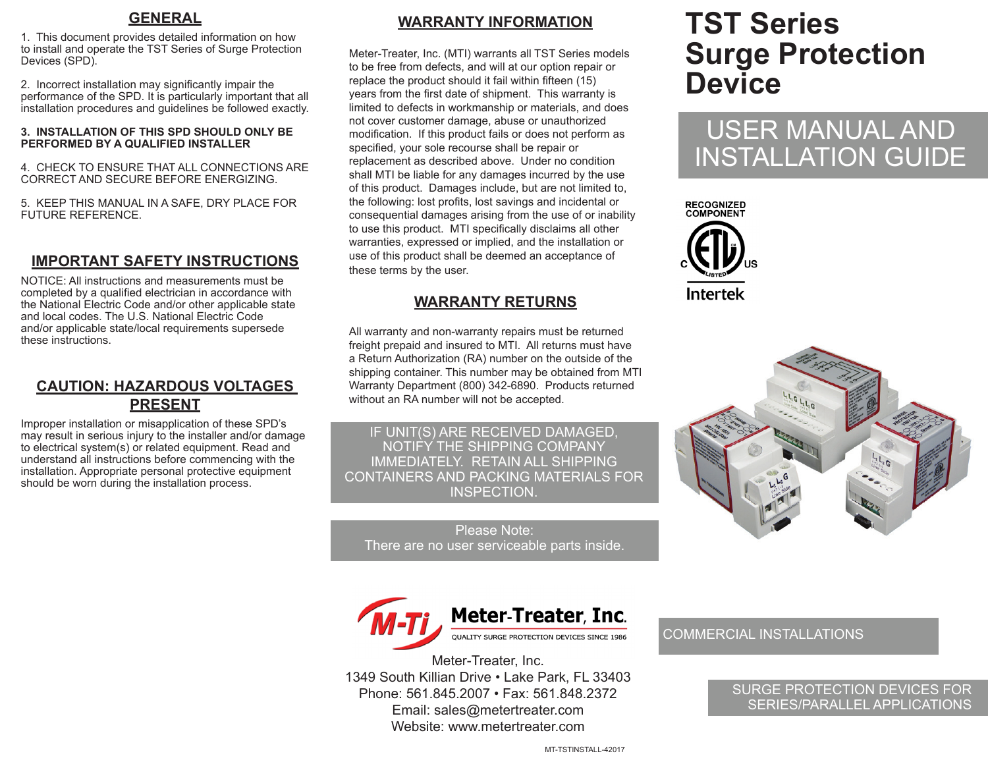### **GENERAL**

1. This document provides detailed information on how to install and operate the TST Series of Surge Protection Devices (SPD).

2. Incorrect installation may significantly impair the performance of the SPD. It is particularly important that all installation procedures and guidelines be followed exactly.

#### **3. INSTALLATION OF THIS SPD SHOULD ONLY BE PERFORMED BY A QUALIFIED INSTALLER**

4. CHECK TO ENSURE THAT ALL CONNECTIONS ARE CORRECT AND SECURE BEFORE ENERGIZING.

5. KEEP THIS MANUAL IN A SAFE, DRY PLACE FOR FUTURE REFERENCE.

# **IMPORTANT SAFETY INSTRUCTIONS**

NOTICE: All instructions and measurements must be completed by a qualified electrician in accordance with the National Electric Code and/or other applicable state and local codes. The U.S. National Electric Code and/or applicable state/local requirements supersede these instructions.

# **CAUTION: HAZARDOUS VOLTAGES PRESENT**

Improper installation or misapplication of these SPD's may result in serious injury to the installer and/or damage to electrical system(s) or related equipment. Read and understand all instructions before commencing with the installation. Appropriate personal protective equipment should be worn during the installation process.

# **WARRANTY INFORMATION**

Meter-Treater, Inc. (MTI) warrants all TST Series models to be free from defects, and will at our option repair or replace the product should it fail within fifteen (15) years from the first date of shipment. This warranty is limited to defects in workmanship or materials, and does not cover customer damage, abuse or unauthorized modification. If this product fails or does not perform as specified, your sole recourse shall be repair or replacement as described above. Under no condition shall MTI be liable for any damages incurred by the use of this product. Damages include, but are not limited to, the following: lost profits, lost savings and incidental or consequential damages arising from the use of or inability to use this product. MTI specifically disclaims all other warranties, expressed or implied, and the installation or use of this product shall be deemed an acceptance of these terms by the user.

# **WARRANTY RETURNS**

All warranty and non-warranty repairs must be returned freight prepaid and insured to MTI. All returns must have a Return Authorization (RA) number on the outside of the shipping container. This number may be obtained from MTI Warranty Department (800) 342-6890. Products returned without an RA number will not be accepted.

IF UNIT(S) ARE RECEIVED DAMAGED, NOTIFY THE SHIPPING COMPANY IMMEDIATELY. RETAIN ALL SHIPPING CONTAINERS AND PACKING MATERIALS FOR INSPECTION.

Please Note: There are no user serviceable parts inside.



Meter-Treater, Inc. 1349 South Killian Drive • Lake Park, FL 33403 Phone: 561.845.2007 • Fax: 561.848.2372 Email: sales@metertreater.com Website: www.metertreater.com

# **TST Series Surge Protection Device**

# USER MANUAL AND INSTALLATION GUIDE





#### COMMERCIAL INSTALLATIONS

SURGE PROTECTION DEVICES FOR SERIES/PARALLEL APPLICATIONS